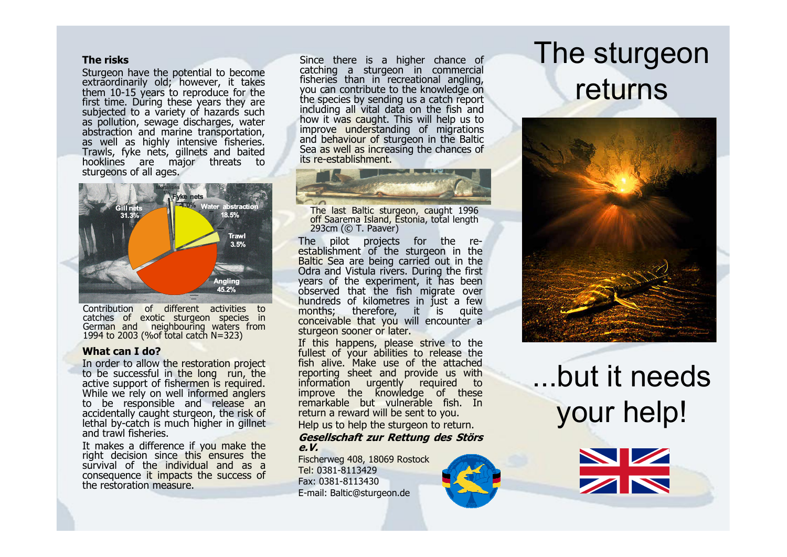#### **The risks**

Sturgeon have the potential to become extraordinarily old; however, it takes them 10-15 years to reproduce for the first time. During these years they are subjected to a variety of hazards such as pollution, sewage discharges, water abstraction and marine transportation, as well as highly intensive fisheries.<br>Trawls, fyke nets, gillnets and baited<br>hooklines are major threats to<br>sturgeons of all ages. hooklines are major threats



Contribution of different activities to catches of exotic sturgeon species in German and neighbouring waters from 1994 to 2003 (% of total catch  $N=323$ )

#### **What can I do?**

In order to allow the restoration project to be successful in the long run, the active support of fishermen is required.<br>While we rely on well informed anglers to be responsible and release an<br>accidentally caught sturgeon, the risk of lethal by-catch is much higher in gillnet<br>and trawl fisheries.

It makes a difference if you make the right decision since this ensures the right decision since this ensures the consequence it impacts the success of the restoration measure.

Since there is a higher chance of catching a sturgeon in commercial fisheries than in recreational angling, you can contribute to the knowledge on the species by sending us a catch report<br>including all vital data on the fish and<br>how it was caught. This will help us to<br>improve understanding of migrations<br>and behaviour of sturgeon in the Baltic<br>Sea as well as increasin its re-establishment.



The last Baltic sturgeon, caught 1996<br>off Saarema Island, Estonia, total length<br>293cm (© T. Paaver)

The pilot projects for the re establishment of the sturgeon in the Baltic Sea are being carried out in the Odra and Vistula rivers. During the first years of the experiment, it has been observed that the fish migrate over hundreds of kilometres in just a few months; therefore, it is quite conceivable that you will encounter a sturgeon sooner or later.

If this happens, please strive to the fullest of your abilities to release the<br>fish alive. Make use of the attached reporting sheet and provide us with information urgently required to<br>improve the knowledge of these<br>remarkable but vulnerable fish. In return a reward will be sent to you.

#### Help us to help the sturgeon to return. **Gesellschaft zur Rettung des Störs e.V.**

Fischerweg 408, 18069 RostockTel: 0381-8113429 Fax: 0381-8113430E-mail: Baltic@sturgeon.de



# The sturgeonreturns



but it needs your help!